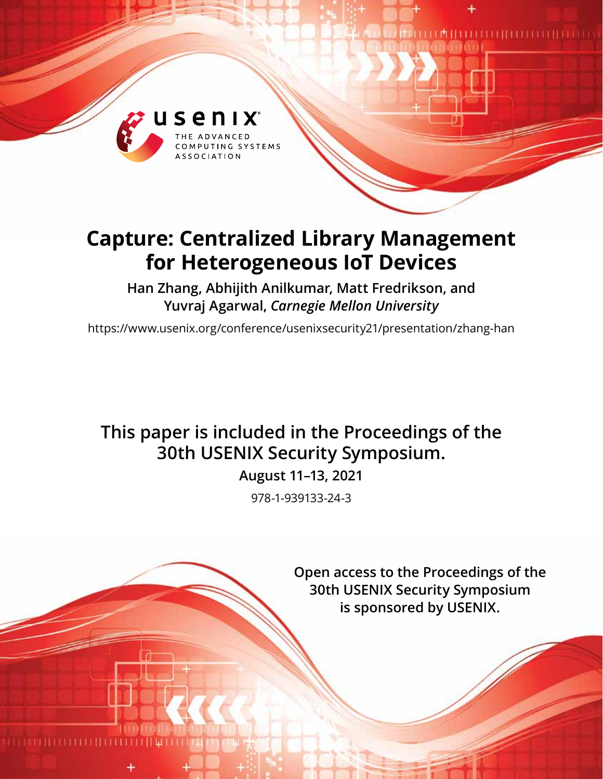

# **Capture: Centralized Library Management for Heterogeneous IoT Devices**

**Han Zhang, Abhijith Anilkumar, Matt Fredrikson, and Yuvraj Agarwal,** *Carnegie Mellon University*

https://www.usenix.org/conference/usenixsecurity21/presentation/zhang-han

## **This paper is included in the Proceedings of the 30th USENIX Security Symposium.**

**August 11–13, 2021**

978-1-939133-24-3

**Open access to the Proceedings of the 30th USENIX Security Symposium is sponsored by USENIX.**

 $\begin{minipage}{.4\linewidth} \begin{tabular}{l} \hline \textbf{0} & \textbf{1} & \textbf{1} & \textbf{1} & \textbf{1} & \textbf{1} & \textbf{1} & \textbf{1} & \textbf{1} & \textbf{1} & \textbf{1} & \textbf{1} & \textbf{1} & \textbf{1} & \textbf{1} & \textbf{1} & \textbf{1} & \textbf{1} & \textbf{1} & \textbf{1} & \textbf{1} & \textbf{1} & \textbf{1} & \textbf{1} & \textbf{1} & \textbf{1} & \textbf{1} & \textbf{1} & \$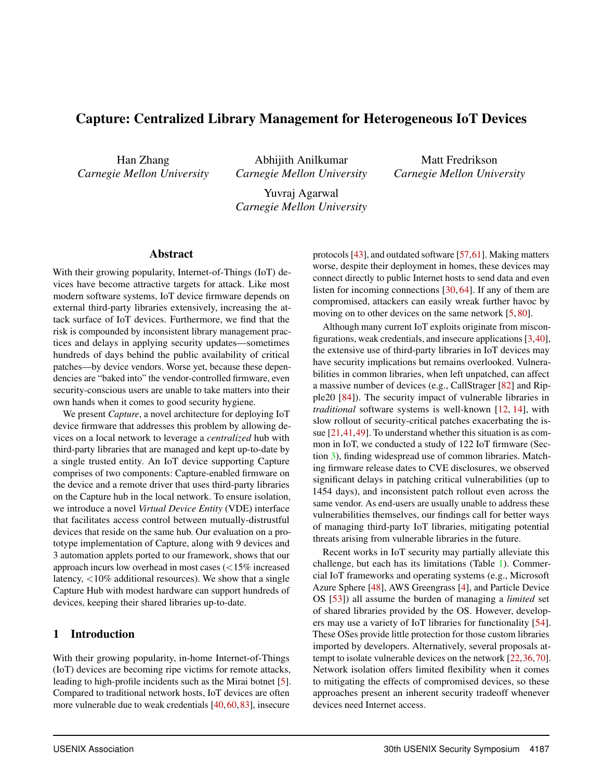## Capture: Centralized Library Management for Heterogeneous IoT Devices

Han Zhang *Carnegie Mellon University*

Abhijith Anilkumar *Carnegie Mellon University*

Matt Fredrikson *Carnegie Mellon University*

Yuvraj Agarwal *Carnegie Mellon University*

#### Abstract

With their growing popularity, Internet-of-Things (IoT) devices have become attractive targets for attack. Like most modern software systems, IoT device firmware depends on external third-party libraries extensively, increasing the attack surface of IoT devices. Furthermore, we find that the risk is compounded by inconsistent library management practices and delays in applying security updates—sometimes hundreds of days behind the public availability of critical patches—by device vendors. Worse yet, because these dependencies are "baked into" the vendor-controlled firmware, even security-conscious users are unable to take matters into their own hands when it comes to good security hygiene.

We present *Capture*, a novel architecture for deploying IoT device firmware that addresses this problem by allowing devices on a local network to leverage a *centralized* hub with third-party libraries that are managed and kept up-to-date by a single trusted entity. An IoT device supporting Capture comprises of two components: Capture-enabled firmware on the device and a remote driver that uses third-party libraries on the Capture hub in the local network. To ensure isolation, we introduce a novel *Virtual Device Entity* (VDE) interface that facilitates access control between mutually-distrustful devices that reside on the same hub. Our evaluation on a prototype implementation of Capture, along with 9 devices and 3 automation applets ported to our framework, shows that our approach incurs low overhead in most cases (<15% increased latency, <10% additional resources). We show that a single Capture Hub with modest hardware can support hundreds of devices, keeping their shared libraries up-to-date.

#### 1 Introduction

With their growing popularity, in-home Internet-of-Things (IoT) devices are becoming ripe victims for remote attacks, leading to high-profile incidents such as the Mirai botnet [5]. Compared to traditional network hosts, IoT devices are often more vulnerable due to weak credentials [40,60,83], insecure

protocols [43], and outdated software [57,61]. Making matters worse, despite their deployment in homes, these devices may connect directly to public Internet hosts to send data and even listen for incoming connections [30, 64]. If any of them are compromised, attackers can easily wreak further havoc by moving on to other devices on the same network [5, 80].

Although many current IoT exploits originate from misconfigurations, weak credentials, and insecure applications [3,40], the extensive use of third-party libraries in IoT devices may have security implications but remains overlooked. Vulnerabilities in common libraries, when left unpatched, can affect a massive number of devices (e.g., CallStrager [82] and Ripple20 [84]). The security impact of vulnerable libraries in *traditional* software systems is well-known [12, 14], with slow rollout of security-critical patches exacerbating the issue [21,41,49]. To understand whether this situation is as common in IoT, we conducted a study of 122 IoT firmware (Section 3), finding widespread use of common libraries. Matching firmware release dates to CVE disclosures, we observed significant delays in patching critical vulnerabilities (up to 1454 days), and inconsistent patch rollout even across the same vendor. As end-users are usually unable to address these vulnerabilities themselves, our findings call for better ways of managing third-party IoT libraries, mitigating potential threats arising from vulnerable libraries in the future.

Recent works in IoT security may partially alleviate this challenge, but each has its limitations (Table 1). Commercial IoT frameworks and operating systems (e.g., Microsoft Azure Sphere [48], AWS Greengrass [4], and Particle Device OS [53]) all assume the burden of managing a *limited* set of shared libraries provided by the OS. However, developers may use a variety of IoT libraries for functionality [54]. These OSes provide little protection for those custom libraries imported by developers. Alternatively, several proposals attempt to isolate vulnerable devices on the network [22,36,70]. Network isolation offers limited flexibility when it comes to mitigating the effects of compromised devices, so these approaches present an inherent security tradeoff whenever devices need Internet access.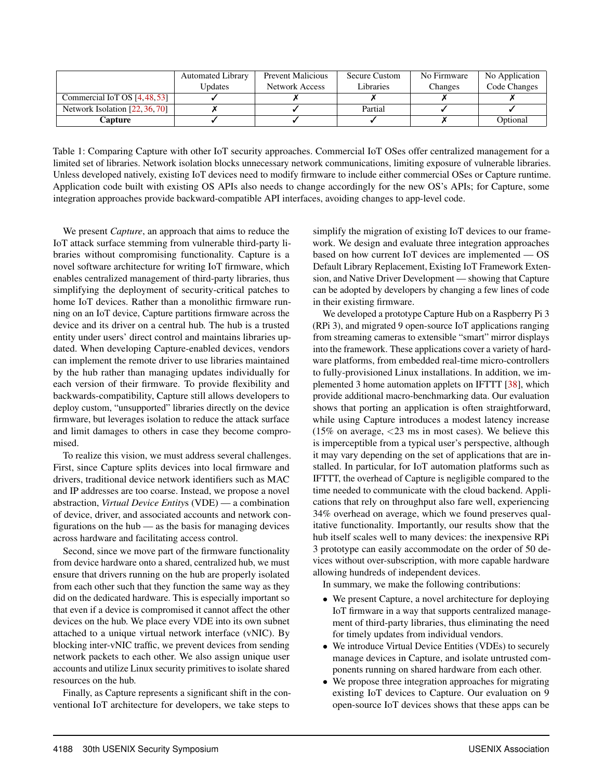|                                | <b>Automated Library</b> | <b>Prevent Malicious</b> | <b>Secure Custom</b> | No Firmware | No Application |
|--------------------------------|--------------------------|--------------------------|----------------------|-------------|----------------|
|                                | <b>Updates</b>           | Network Access           | Libraries            | Changes     | Code Changes   |
| Commercial IoT OS [4,48,53]    |                          |                          |                      |             |                |
| Network Isolation [22, 36, 70] |                          |                          | Partial              |             |                |
| Capture                        |                          |                          |                      |             | Optional       |

Table 1: Comparing Capture with other IoT security approaches. Commercial IoT OSes offer centralized management for a limited set of libraries. Network isolation blocks unnecessary network communications, limiting exposure of vulnerable libraries. Unless developed natively, existing IoT devices need to modify firmware to include either commercial OSes or Capture runtime. Application code built with existing OS APIs also needs to change accordingly for the new OS's APIs; for Capture, some integration approaches provide backward-compatible API interfaces, avoiding changes to app-level code.

We present *Capture*, an approach that aims to reduce the IoT attack surface stemming from vulnerable third-party libraries without compromising functionality. Capture is a novel software architecture for writing IoT firmware, which enables centralized management of third-party libraries, thus simplifying the deployment of security-critical patches to home IoT devices. Rather than a monolithic firmware running on an IoT device, Capture partitions firmware across the device and its driver on a central hub. The hub is a trusted entity under users' direct control and maintains libraries updated. When developing Capture-enabled devices, vendors can implement the remote driver to use libraries maintained by the hub rather than managing updates individually for each version of their firmware. To provide flexibility and backwards-compatibility, Capture still allows developers to deploy custom, "unsupported" libraries directly on the device firmware, but leverages isolation to reduce the attack surface and limit damages to others in case they become compromised.

To realize this vision, we must address several challenges. First, since Capture splits devices into local firmware and drivers, traditional device network identifiers such as MAC and IP addresses are too coarse. Instead, we propose a novel abstraction, *Virtual Device Entity*s (VDE) — a combination of device, driver, and associated accounts and network configurations on the hub — as the basis for managing devices across hardware and facilitating access control.

Second, since we move part of the firmware functionality from device hardware onto a shared, centralized hub, we must ensure that drivers running on the hub are properly isolated from each other such that they function the same way as they did on the dedicated hardware. This is especially important so that even if a device is compromised it cannot affect the other devices on the hub. We place every VDE into its own subnet attached to a unique virtual network interface (vNIC). By blocking inter-vNIC traffic, we prevent devices from sending network packets to each other. We also assign unique user accounts and utilize Linux security primitives to isolate shared resources on the hub.

Finally, as Capture represents a significant shift in the conventional IoT architecture for developers, we take steps to

simplify the migration of existing IoT devices to our framework. We design and evaluate three integration approaches based on how current IoT devices are implemented — OS Default Library Replacement, Existing IoT Framework Extension, and Native Driver Development — showing that Capture can be adopted by developers by changing a few lines of code in their existing firmware.

We developed a prototype Capture Hub on a Raspberry Pi 3 (RPi 3), and migrated 9 open-source IoT applications ranging from streaming cameras to extensible "smart" mirror displays into the framework. These applications cover a variety of hardware platforms, from embedded real-time micro-controllers to fully-provisioned Linux installations. In addition, we implemented 3 home automation applets on IFTTT [38], which provide additional macro-benchmarking data. Our evaluation shows that porting an application is often straightforward, while using Capture introduces a modest latency increase (15% on average,  $\langle 23 \rangle$  ms in most cases). We believe this is imperceptible from a typical user's perspective, although it may vary depending on the set of applications that are installed. In particular, for IoT automation platforms such as IFTTT, the overhead of Capture is negligible compared to the time needed to communicate with the cloud backend. Applications that rely on throughput also fare well, experiencing 34% overhead on average, which we found preserves qualitative functionality. Importantly, our results show that the hub itself scales well to many devices: the inexpensive RPi 3 prototype can easily accommodate on the order of 50 devices without over-subscription, with more capable hardware allowing hundreds of independent devices.

In summary, we make the following contributions:

- We present Capture, a novel architecture for deploying IoT firmware in a way that supports centralized management of third-party libraries, thus eliminating the need for timely updates from individual vendors.
- We introduce Virtual Device Entities (VDEs) to securely manage devices in Capture, and isolate untrusted components running on shared hardware from each other.
- We propose three integration approaches for migrating existing IoT devices to Capture. Our evaluation on 9 open-source IoT devices shows that these apps can be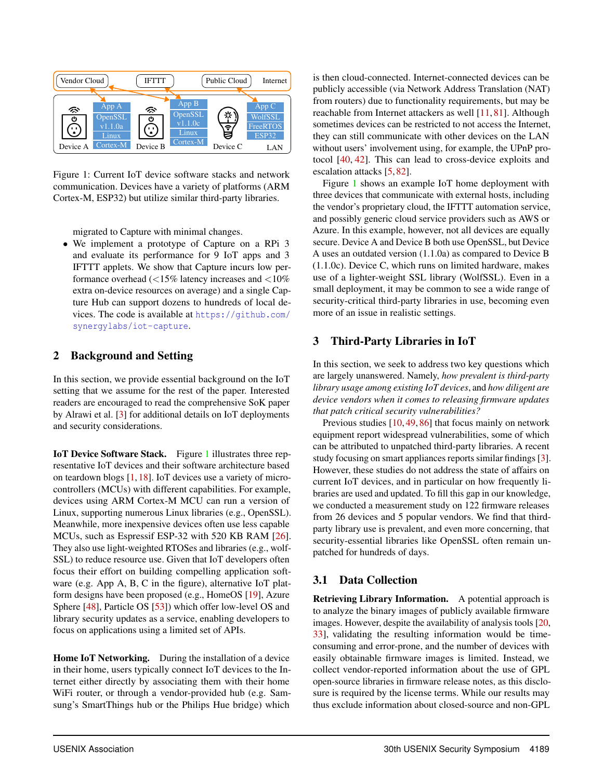

Figure 1: Current IoT device software stacks and network communication. Devices have a variety of platforms (ARM Cortex-M, ESP32) but utilize similar third-party libraries.

migrated to Capture with minimal changes.

• We implement a prototype of Capture on a RPi 3 and evaluate its performance for 9 IoT apps and 3 IFTTT applets. We show that Capture incurs low performance overhead  $\langle$  <15% latency increases and  $\langle$  10% extra on-device resources on average) and a single Capture Hub can support dozens to hundreds of local devices. The code is available at https://github.com/ synergylabs/iot-capture.

#### 2 Background and Setting

In this section, we provide essential background on the IoT setting that we assume for the rest of the paper. Interested readers are encouraged to read the comprehensive SoK paper by Alrawi et al. [3] for additional details on IoT deployments and security considerations.

IoT Device Software Stack. Figure 1 illustrates three representative IoT devices and their software architecture based on teardown blogs [1, 18]. IoT devices use a variety of microcontrollers (MCUs) with different capabilities. For example, devices using ARM Cortex-M MCU can run a version of Linux, supporting numerous Linux libraries (e.g., OpenSSL). Meanwhile, more inexpensive devices often use less capable MCUs, such as Espressif ESP-32 with 520 KB RAM [26]. They also use light-weighted RTOSes and libraries (e.g., wolf-SSL) to reduce resource use. Given that IoT developers often focus their effort on building compelling application software (e.g. App A, B, C in the figure), alternative IoT platform designs have been proposed (e.g., HomeOS [19], Azure Sphere [48], Particle OS [53]) which offer low-level OS and library security updates as a service, enabling developers to focus on applications using a limited set of APIs.

Home IoT Networking. During the installation of a device in their home, users typically connect IoT devices to the Internet either directly by associating them with their home WiFi router, or through a vendor-provided hub (e.g. Samsung's SmartThings hub or the Philips Hue bridge) which

is then cloud-connected. Internet-connected devices can be publicly accessible (via Network Address Translation (NAT) from routers) due to functionality requirements, but may be reachable from Internet attackers as well [11, 81]. Although sometimes devices can be restricted to not access the Internet, they can still communicate with other devices on the LAN without users' involvement using, for example, the UPnP protocol [40, 42]. This can lead to cross-device exploits and escalation attacks [5, 82].

Figure 1 shows an example IoT home deployment with three devices that communicate with external hosts, including the vendor's proprietary cloud, the IFTTT automation service, and possibly generic cloud service providers such as AWS or Azure. In this example, however, not all devices are equally secure. Device A and Device B both use OpenSSL, but Device A uses an outdated version (1.1.0a) as compared to Device B (1.1.0c). Device C, which runs on limited hardware, makes use of a lighter-weight SSL library (WolfSSL). Even in a small deployment, it may be common to see a wide range of security-critical third-party libraries in use, becoming even more of an issue in realistic settings.

## 3 Third-Party Libraries in IoT

In this section, we seek to address two key questions which are largely unanswered. Namely, *how prevalent is third-party library usage among existing IoT devices*, and *how diligent are device vendors when it comes to releasing firmware updates that patch critical security vulnerabilities?*

Previous studies [10, 49, 86] that focus mainly on network equipment report widespread vulnerabilities, some of which can be attributed to unpatched third-party libraries. A recent study focusing on smart appliances reports similar findings [3]. However, these studies do not address the state of affairs on current IoT devices, and in particular on how frequently libraries are used and updated. To fill this gap in our knowledge, we conducted a measurement study on 122 firmware releases from 26 devices and 5 popular vendors. We find that thirdparty library use is prevalent, and even more concerning, that security-essential libraries like OpenSSL often remain unpatched for hundreds of days.

#### 3.1 Data Collection

Retrieving Library Information. A potential approach is to analyze the binary images of publicly available firmware images. However, despite the availability of analysis tools [20, 33], validating the resulting information would be timeconsuming and error-prone, and the number of devices with easily obtainable firmware images is limited. Instead, we collect vendor-reported information about the use of GPL open-source libraries in firmware release notes, as this disclosure is required by the license terms. While our results may thus exclude information about closed-source and non-GPL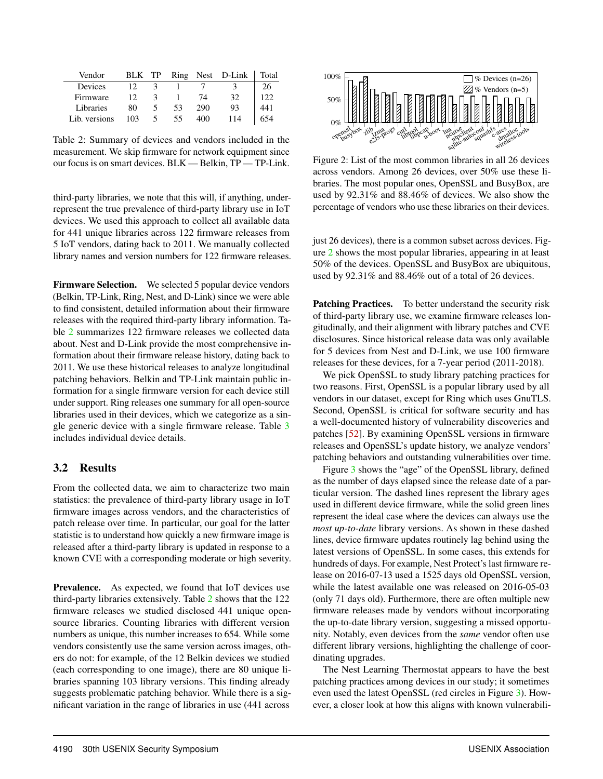| Vendor        | <b>BLK</b> | TP |    |     | Ring Nest D-Link | Total |
|---------------|------------|----|----|-----|------------------|-------|
| Devices       | 12         |    |    |     |                  | 26    |
| Firmware      | 12         | 2  |    | 74  | 32               | 122   |
| Libraries     | 80         |    | 53 | 290 | 93               | 441   |
| Lib. versions | 103        |    | 55 | 400 | 114              | 654   |

Table 2: Summary of devices and vendors included in the measurement. We skip firmware for network equipment since our focus is on smart devices. BLK — Belkin, TP — TP-Link.

third-party libraries, we note that this will, if anything, underrepresent the true prevalence of third-party library use in IoT devices. We used this approach to collect all available data for 441 unique libraries across 122 firmware releases from 5 IoT vendors, dating back to 2011. We manually collected library names and version numbers for 122 firmware releases.

Firmware Selection. We selected 5 popular device vendors (Belkin, TP-Link, Ring, Nest, and D-Link) since we were able to find consistent, detailed information about their firmware releases with the required third-party library information. Table 2 summarizes 122 firmware releases we collected data about. Nest and D-Link provide the most comprehensive information about their firmware release history, dating back to 2011. We use these historical releases to analyze longitudinal patching behaviors. Belkin and TP-Link maintain public information for a single firmware version for each device still under support. Ring releases one summary for all open-source libraries used in their devices, which we categorize as a single generic device with a single firmware release. Table 3 includes individual device details.

#### 3.2 Results

From the collected data, we aim to characterize two main statistics: the prevalence of third-party library usage in IoT firmware images across vendors, and the characteristics of patch release over time. In particular, our goal for the latter statistic is to understand how quickly a new firmware image is released after a third-party library is updated in response to a known CVE with a corresponding moderate or high severity.

Prevalence. As expected, we found that IoT devices use third-party libraries extensively. Table 2 shows that the 122 firmware releases we studied disclosed 441 unique opensource libraries. Counting libraries with different version numbers as unique, this number increases to 654. While some vendors consistently use the same version across images, others do not: for example, of the 12 Belkin devices we studied (each corresponding to one image), there are 80 unique libraries spanning 103 library versions. This finding already suggests problematic patching behavior. While there is a significant variation in the range of libraries in use (441 across



Figure 2: List of the most common libraries in all 26 devices across vendors. Among 26 devices, over 50% use these libraries. The most popular ones, OpenSSL and BusyBox, are used by 92.31% and 88.46% of devices. We also show the percentage of vendors who use these libraries on their devices.

just 26 devices), there is a common subset across devices. Figure 2 shows the most popular libraries, appearing in at least 50% of the devices. OpenSSL and BusyBox are ubiquitous, used by 92.31% and 88.46% out of a total of 26 devices.

Patching Practices. To better understand the security risk of third-party library use, we examine firmware releases longitudinally, and their alignment with library patches and CVE disclosures. Since historical release data was only available for 5 devices from Nest and D-Link, we use 100 firmware releases for these devices, for a 7-year period (2011-2018).

We pick OpenSSL to study library patching practices for two reasons. First, OpenSSL is a popular library used by all vendors in our dataset, except for Ring which uses GnuTLS. Second, OpenSSL is critical for software security and has a well-documented history of vulnerability discoveries and patches [52]. By examining OpenSSL versions in firmware releases and OpenSSL's update history, we analyze vendors' patching behaviors and outstanding vulnerabilities over time.

Figure 3 shows the "age" of the OpenSSL library, defined as the number of days elapsed since the release date of a particular version. The dashed lines represent the library ages used in different device firmware, while the solid green lines represent the ideal case where the devices can always use the *most up-to-date* library versions. As shown in these dashed lines, device firmware updates routinely lag behind using the latest versions of OpenSSL. In some cases, this extends for hundreds of days. For example, Nest Protect's last firmware release on 2016-07-13 used a 1525 days old OpenSSL version, while the latest available one was released on 2016-05-03 (only 71 days old). Furthermore, there are often multiple new firmware releases made by vendors without incorporating the up-to-date library version, suggesting a missed opportunity. Notably, even devices from the *same* vendor often use different library versions, highlighting the challenge of coordinating upgrades.

The Nest Learning Thermostat appears to have the best patching practices among devices in our study; it sometimes even used the latest OpenSSL (red circles in Figure 3). However, a closer look at how this aligns with known vulnerabili-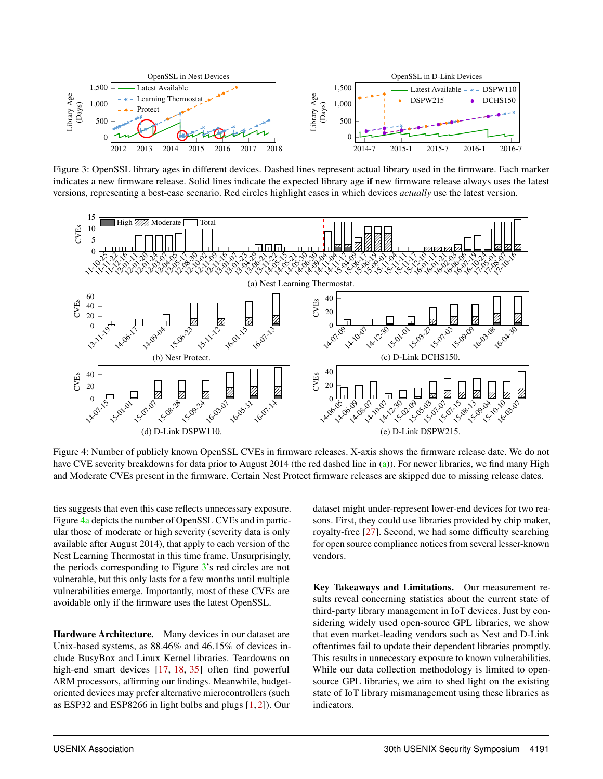

Figure 3: OpenSSL library ages in different devices. Dashed lines represent actual library used in the firmware. Each marker indicates a new firmware release. Solid lines indicate the expected library age if new firmware release always uses the latest versions, representing a best-case scenario. Red circles highlight cases in which devices *actually* use the latest version.



Figure 4: Number of publicly known OpenSSL CVEs in firmware releases. X-axis shows the firmware release date. We do not have CVE severity breakdowns for data prior to August 2014 (the red dashed line in (a)). For newer libraries, we find many High and Moderate CVEs present in the firmware. Certain Nest Protect firmware releases are skipped due to missing release dates.

ties suggests that even this case reflects unnecessary exposure. Figure 4a depicts the number of OpenSSL CVEs and in particular those of moderate or high severity (severity data is only available after August 2014), that apply to each version of the Nest Learning Thermostat in this time frame. Unsurprisingly, the periods corresponding to Figure 3's red circles are not vulnerable, but this only lasts for a few months until multiple vulnerabilities emerge. Importantly, most of these CVEs are avoidable only if the firmware uses the latest OpenSSL.

Hardware Architecture. Many devices in our dataset are Unix-based systems, as 88.46% and 46.15% of devices include BusyBox and Linux Kernel libraries. Teardowns on high-end smart devices [17, 18, 35] often find powerful ARM processors, affirming our findings. Meanwhile, budgetoriented devices may prefer alternative microcontrollers (such as ESP32 and ESP8266 in light bulbs and plugs [1, 2]). Our

dataset might under-represent lower-end devices for two reasons. First, they could use libraries provided by chip maker, royalty-free [27]. Second, we had some difficulty searching for open source compliance notices from several lesser-known vendors.

Key Takeaways and Limitations. Our measurement results reveal concerning statistics about the current state of third-party library management in IoT devices. Just by considering widely used open-source GPL libraries, we show that even market-leading vendors such as Nest and D-Link oftentimes fail to update their dependent libraries promptly. This results in unnecessary exposure to known vulnerabilities. While our data collection methodology is limited to opensource GPL libraries, we aim to shed light on the existing state of IoT library mismanagement using these libraries as indicators.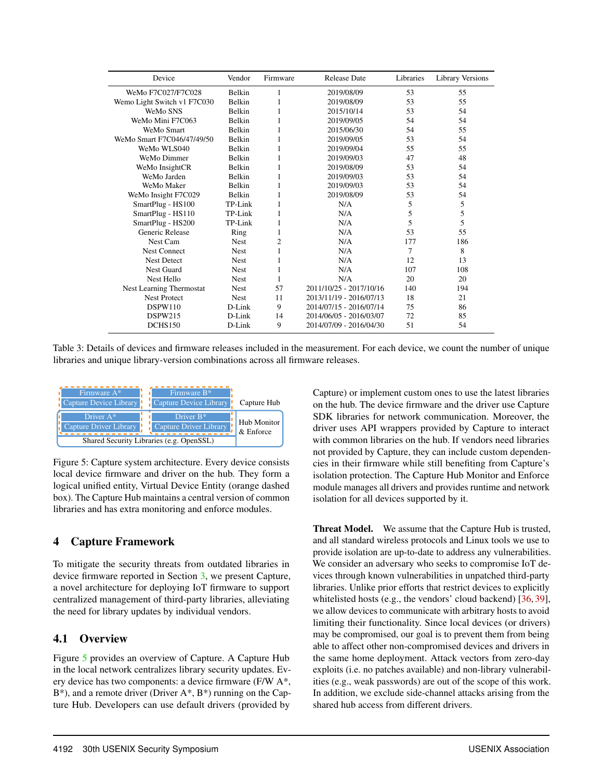| Device                      | Vendor        | Firmware | <b>Release Date</b>     | Libraries | <b>Library Versions</b> |
|-----------------------------|---------------|----------|-------------------------|-----------|-------------------------|
| WeMo F7C027/F7C028          | <b>Belkin</b> | 1        | 2019/08/09              | 53        | 55                      |
| Wemo Light Switch v1 F7C030 | Belkin        | 1        | 2019/08/09              | 53        | 55                      |
| WeMo SNS                    | <b>Belkin</b> |          | 2015/10/14              | 53        | 54                      |
| WeMo Mini F7C063            | Belkin        | 1        | 2019/09/05              | 54        | 54                      |
| WeMo Smart                  | <b>Belkin</b> | 1        | 2015/06/30              | 54        | 55                      |
| WeMo Smart F7C046/47/49/50  | <b>Belkin</b> |          | 2019/09/05              | 53        | 54                      |
| WeMo WLS040                 | <b>Belkin</b> | 1        | 2019/09/04              | 55        | 55                      |
| WeMo Dimmer                 | <b>Belkin</b> | 1        | 2019/09/03              | 47        | 48                      |
| WeMo InsightCR              | Belkin        |          | 2019/08/09              | 53        | 54                      |
| WeMo Jarden                 | <b>Belkin</b> | 1        | 2019/09/03              | 53        | 54                      |
| WeMo Maker                  | Belkin        | 1        | 2019/09/03              | 53        | 54                      |
| WeMo Insight F7C029         | Belkin        | 1        | 2019/08/09              | 53        | 54                      |
| SmartPlug - HS100           | TP-Link       | 1        | N/A                     | 5         | 5                       |
| SmartPlug - HS110           | TP-Link       | 1        | N/A                     | 5         | 5                       |
| SmartPlug - HS200           | TP-Link       |          | N/A                     | 5         | 5                       |
| Generic Release             | Ring          |          | N/A                     | 53        | 55                      |
| Nest Cam                    | <b>Nest</b>   | 2        | N/A                     | 177       | 186                     |
| <b>Nest Connect</b>         | <b>Nest</b>   |          | N/A                     | 7         | 8                       |
| <b>Nest Detect</b>          | <b>Nest</b>   |          | N/A                     | 12        | 13                      |
| <b>Nest Guard</b>           | <b>Nest</b>   |          | N/A                     | 107       | 108                     |
| Nest Hello                  | <b>Nest</b>   | 1        | N/A                     | 20        | 20                      |
| Nest Learning Thermostat    | <b>Nest</b>   | 57       | 2011/10/25 - 2017/10/16 | 140       | 194                     |
| <b>Nest Protect</b>         | <b>Nest</b>   | 11       | 2013/11/19 - 2016/07/13 | 18        | 21                      |
| DSPW110                     | D-Link        | 9        | 2014/07/15 - 2016/07/14 | 75        | 86                      |
| DSPW215                     | D-Link        | 14       | 2014/06/05 - 2016/03/07 | 72        | 85                      |
| DCHS150                     | D-Link        | 9        | 2014/07/09 - 2016/04/30 | 51        | 54                      |

Table 3: Details of devices and firmware releases included in the measurement. For each device, we count the number of unique libraries and unique library-version combinations across all firmware releases.



Figure 5: Capture system architecture. Every device consists local device firmware and driver on the hub. They form a logical unified entity, Virtual Device Entity (orange dashed box). The Capture Hub maintains a central version of common libraries and has extra monitoring and enforce modules.

#### 4 Capture Framework

To mitigate the security threats from outdated libraries in device firmware reported in Section 3, we present Capture, a novel architecture for deploying IoT firmware to support centralized management of third-party libraries, alleviating the need for library updates by individual vendors.

#### 4.1 Overview

Figure 5 provides an overview of Capture. A Capture Hub in the local network centralizes library security updates. Every device has two components: a device firmware (F/W A\*,  $B^*$ ), and a remote driver (Driver A\*,  $B^*$ ) running on the Capture Hub. Developers can use default drivers (provided by

Capture) or implement custom ones to use the latest libraries on the hub. The device firmware and the driver use Capture SDK libraries for network communication. Moreover, the driver uses API wrappers provided by Capture to interact with common libraries on the hub. If vendors need libraries not provided by Capture, they can include custom dependencies in their firmware while still benefiting from Capture's isolation protection. The Capture Hub Monitor and Enforce module manages all drivers and provides runtime and network isolation for all devices supported by it.

Threat Model. We assume that the Capture Hub is trusted, and all standard wireless protocols and Linux tools we use to provide isolation are up-to-date to address any vulnerabilities. We consider an adversary who seeks to compromise IoT devices through known vulnerabilities in unpatched third-party libraries. Unlike prior efforts that restrict devices to explicitly whitelisted hosts (e.g., the vendors' cloud backend)  $[36, 39]$ , we allow devices to communicate with arbitrary hosts to avoid limiting their functionality. Since local devices (or drivers) may be compromised, our goal is to prevent them from being able to affect other non-compromised devices and drivers in the same home deployment. Attack vectors from zero-day exploits (i.e. no patches available) and non-library vulnerabilities (e.g., weak passwords) are out of the scope of this work. In addition, we exclude side-channel attacks arising from the shared hub access from different drivers.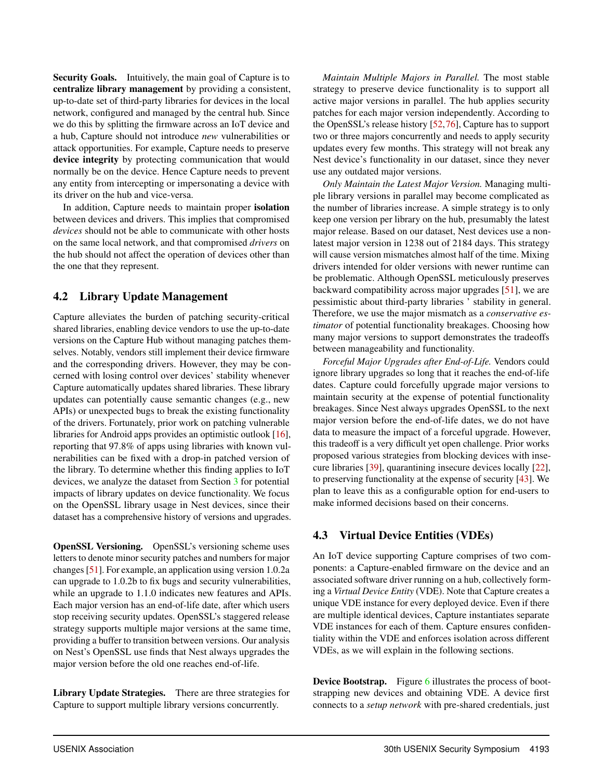Security Goals. Intuitively, the main goal of Capture is to centralize library management by providing a consistent, up-to-date set of third-party libraries for devices in the local network, configured and managed by the central hub. Since we do this by splitting the firmware across an IoT device and a hub, Capture should not introduce *new* vulnerabilities or attack opportunities. For example, Capture needs to preserve device integrity by protecting communication that would normally be on the device. Hence Capture needs to prevent any entity from intercepting or impersonating a device with its driver on the hub and vice-versa.

In addition, Capture needs to maintain proper isolation between devices and drivers. This implies that compromised *devices* should not be able to communicate with other hosts on the same local network, and that compromised *drivers* on the hub should not affect the operation of devices other than the one that they represent.

## 4.2 Library Update Management

Capture alleviates the burden of patching security-critical shared libraries, enabling device vendors to use the up-to-date versions on the Capture Hub without managing patches themselves. Notably, vendors still implement their device firmware and the corresponding drivers. However, they may be concerned with losing control over devices' stability whenever Capture automatically updates shared libraries. These library updates can potentially cause semantic changes (e.g., new APIs) or unexpected bugs to break the existing functionality of the drivers. Fortunately, prior work on patching vulnerable libraries for Android apps provides an optimistic outlook [16], reporting that 97.8% of apps using libraries with known vulnerabilities can be fixed with a drop-in patched version of the library. To determine whether this finding applies to IoT devices, we analyze the dataset from Section 3 for potential impacts of library updates on device functionality. We focus on the OpenSSL library usage in Nest devices, since their dataset has a comprehensive history of versions and upgrades.

OpenSSL Versioning. OpenSSL's versioning scheme uses letters to denote minor security patches and numbers for major changes [51]. For example, an application using version 1.0.2a can upgrade to 1.0.2b to fix bugs and security vulnerabilities, while an upgrade to 1.1.0 indicates new features and APIs. Each major version has an end-of-life date, after which users stop receiving security updates. OpenSSL's staggered release strategy supports multiple major versions at the same time, providing a buffer to transition between versions. Our analysis on Nest's OpenSSL use finds that Nest always upgrades the major version before the old one reaches end-of-life.

Library Update Strategies. There are three strategies for Capture to support multiple library versions concurrently.

*Maintain Multiple Majors in Parallel.* The most stable strategy to preserve device functionality is to support all active major versions in parallel. The hub applies security patches for each major version independently. According to the OpenSSL's release history [52,76], Capture has to support two or three majors concurrently and needs to apply security updates every few months. This strategy will not break any Nest device's functionality in our dataset, since they never use any outdated major versions.

*Only Maintain the Latest Major Version.* Managing multiple library versions in parallel may become complicated as the number of libraries increase. A simple strategy is to only keep one version per library on the hub, presumably the latest major release. Based on our dataset, Nest devices use a nonlatest major version in 1238 out of 2184 days. This strategy will cause version mismatches almost half of the time. Mixing drivers intended for older versions with newer runtime can be problematic. Although OpenSSL meticulously preserves backward compatibility across major upgrades [51], we are pessimistic about third-party libraries ' stability in general. Therefore, we use the major mismatch as a *conservative estimator* of potential functionality breakages. Choosing how many major versions to support demonstrates the tradeoffs between manageability and functionality.

*Forceful Major Upgrades after End-of-Life.* Vendors could ignore library upgrades so long that it reaches the end-of-life dates. Capture could forcefully upgrade major versions to maintain security at the expense of potential functionality breakages. Since Nest always upgrades OpenSSL to the next major version before the end-of-life dates, we do not have data to measure the impact of a forceful upgrade. However, this tradeoff is a very difficult yet open challenge. Prior works proposed various strategies from blocking devices with insecure libraries [39], quarantining insecure devices locally [22], to preserving functionality at the expense of security [43]. We plan to leave this as a configurable option for end-users to make informed decisions based on their concerns.

## 4.3 Virtual Device Entities (VDEs)

An IoT device supporting Capture comprises of two components: a Capture-enabled firmware on the device and an associated software driver running on a hub, collectively forming a *Virtual Device Entity* (VDE). Note that Capture creates a unique VDE instance for every deployed device. Even if there are multiple identical devices, Capture instantiates separate VDE instances for each of them. Capture ensures confidentiality within the VDE and enforces isolation across different VDEs, as we will explain in the following sections.

Device Bootstrap. Figure 6 illustrates the process of bootstrapping new devices and obtaining VDE. A device first connects to a *setup network* with pre-shared credentials, just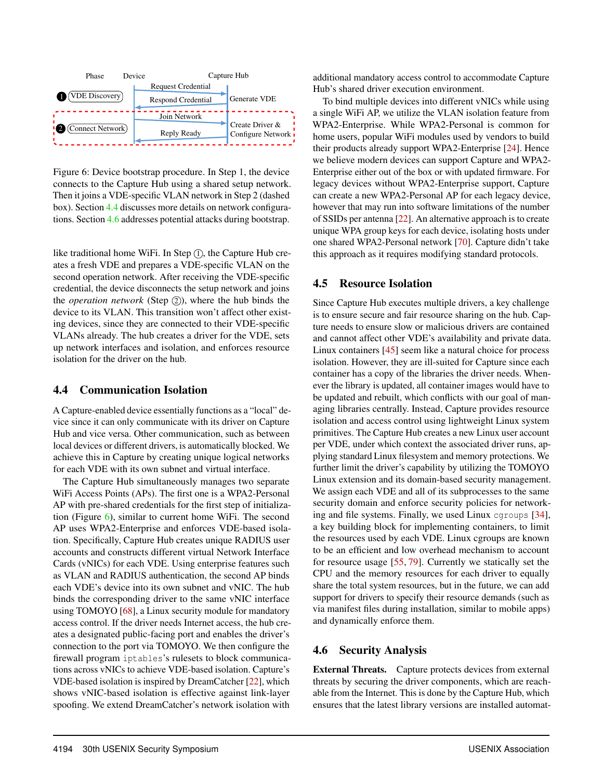

Figure 6: Device bootstrap procedure. In Step 1, the device connects to the Capture Hub using a shared setup network. Then it joins a VDE-specific VLAN network in Step 2 (dashed box). Section 4.4 discusses more details on network configurations. Section 4.6 addresses potential attacks during bootstrap.

like traditional home WiFi. In Step  $(1)$ , the Capture Hub creates a fresh VDE and prepares a VDE-specific VLAN on the second operation network. After receiving the VDE-specific credential, the device disconnects the setup network and joins the *operation network* (Step  $(2)$ ), where the hub binds the device to its VLAN. This transition won't affect other existing devices, since they are connected to their VDE-specific VLANs already. The hub creates a driver for the VDE, sets up network interfaces and isolation, and enforces resource isolation for the driver on the hub.

#### 4.4 Communication Isolation

A Capture-enabled device essentially functions as a "local" device since it can only communicate with its driver on Capture Hub and vice versa. Other communication, such as between local devices or different drivers, is automatically blocked. We achieve this in Capture by creating unique logical networks for each VDE with its own subnet and virtual interface.

The Capture Hub simultaneously manages two separate WiFi Access Points (APs). The first one is a WPA2-Personal AP with pre-shared credentials for the first step of initialization (Figure  $6$ ), similar to current home WiFi. The second AP uses WPA2-Enterprise and enforces VDE-based isolation. Specifically, Capture Hub creates unique RADIUS user accounts and constructs different virtual Network Interface Cards (vNICs) for each VDE. Using enterprise features such as VLAN and RADIUS authentication, the second AP binds each VDE's device into its own subnet and vNIC. The hub binds the corresponding driver to the same vNIC interface using TOMOYO [68], a Linux security module for mandatory access control. If the driver needs Internet access, the hub creates a designated public-facing port and enables the driver's connection to the port via TOMOYO. We then configure the firewall program iptables's rulesets to block communications across vNICs to achieve VDE-based isolation. Capture's VDE-based isolation is inspired by DreamCatcher [22], which shows vNIC-based isolation is effective against link-layer spoofing. We extend DreamCatcher's network isolation with

additional mandatory access control to accommodate Capture Hub's shared driver execution environment.

To bind multiple devices into different vNICs while using a single WiFi AP, we utilize the VLAN isolation feature from WPA2-Enterprise. While WPA2-Personal is common for home users, popular WiFi modules used by vendors to build their products already support WPA2-Enterprise [24]. Hence we believe modern devices can support Capture and WPA2- Enterprise either out of the box or with updated firmware. For legacy devices without WPA2-Enterprise support, Capture can create a new WPA2-Personal AP for each legacy device, however that may run into software limitations of the number of SSIDs per antenna [22]. An alternative approach is to create unique WPA group keys for each device, isolating hosts under one shared WPA2-Personal network [70]. Capture didn't take this approach as it requires modifying standard protocols.

## 4.5 Resource Isolation

Since Capture Hub executes multiple drivers, a key challenge is to ensure secure and fair resource sharing on the hub. Capture needs to ensure slow or malicious drivers are contained and cannot affect other VDE's availability and private data. Linux containers [45] seem like a natural choice for process isolation. However, they are ill-suited for Capture since each container has a copy of the libraries the driver needs. Whenever the library is updated, all container images would have to be updated and rebuilt, which conflicts with our goal of managing libraries centrally. Instead, Capture provides resource isolation and access control using lightweight Linux system primitives. The Capture Hub creates a new Linux user account per VDE, under which context the associated driver runs, applying standard Linux filesystem and memory protections. We further limit the driver's capability by utilizing the TOMOYO Linux extension and its domain-based security management. We assign each VDE and all of its subprocesses to the same security domain and enforce security policies for networking and file systems. Finally, we used Linux cgroups [34], a key building block for implementing containers, to limit the resources used by each VDE. Linux cgroups are known to be an efficient and low overhead mechanism to account for resource usage [55, 79]. Currently we statically set the CPU and the memory resources for each driver to equally share the total system resources, but in the future, we can add support for drivers to specify their resource demands (such as via manifest files during installation, similar to mobile apps) and dynamically enforce them.

## 4.6 Security Analysis

External Threats. Capture protects devices from external threats by securing the driver components, which are reachable from the Internet. This is done by the Capture Hub, which ensures that the latest library versions are installed automat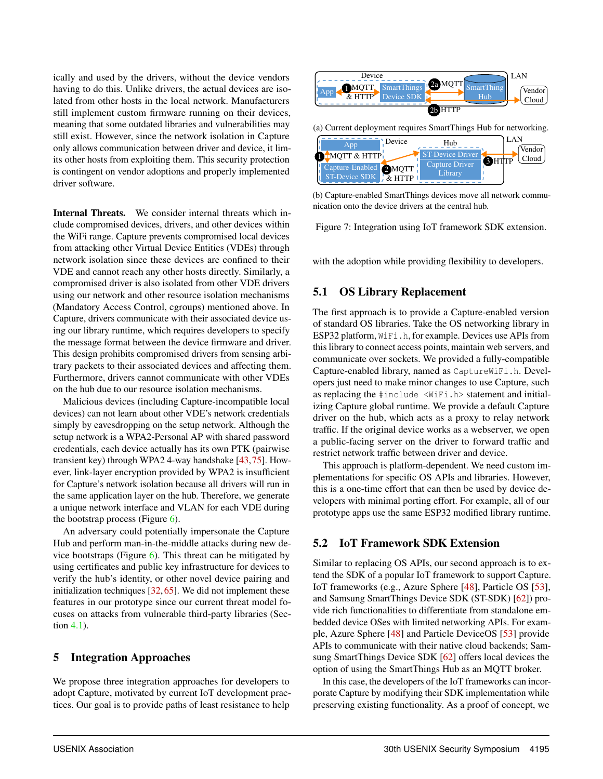ically and used by the drivers, without the device vendors having to do this. Unlike drivers, the actual devices are isolated from other hosts in the local network. Manufacturers still implement custom firmware running on their devices, meaning that some outdated libraries and vulnerabilities may still exist. However, since the network isolation in Capture only allows communication between driver and device, it limits other hosts from exploiting them. This security protection is contingent on vendor adoptions and properly implemented driver software.

Internal Threats. We consider internal threats which include compromised devices, drivers, and other devices within the WiFi range. Capture prevents compromised local devices from attacking other Virtual Device Entities (VDEs) through network isolation since these devices are confined to their VDE and cannot reach any other hosts directly. Similarly, a compromised driver is also isolated from other VDE drivers using our network and other resource isolation mechanisms (Mandatory Access Control, cgroups) mentioned above. In Capture, drivers communicate with their associated device using our library runtime, which requires developers to specify the message format between the device firmware and driver. This design prohibits compromised drivers from sensing arbitrary packets to their associated devices and affecting them. Furthermore, drivers cannot communicate with other VDEs on the hub due to our resource isolation mechanisms.

Malicious devices (including Capture-incompatible local devices) can not learn about other VDE's network credentials simply by eavesdropping on the setup network. Although the setup network is a WPA2-Personal AP with shared password credentials, each device actually has its own PTK (pairwise transient key) through WPA2 4-way handshake [43,75]. However, link-layer encryption provided by WPA2 is insufficient for Capture's network isolation because all drivers will run in the same application layer on the hub. Therefore, we generate a unique network interface and VLAN for each VDE during the bootstrap process (Figure 6).

An adversary could potentially impersonate the Capture Hub and perform man-in-the-middle attacks during new device bootstraps (Figure  $6$ ). This threat can be mitigated by using certificates and public key infrastructure for devices to verify the hub's identity, or other novel device pairing and initialization techniques [32, 65]. We did not implement these features in our prototype since our current threat model focuses on attacks from vulnerable third-party libraries (Section 4.1).

#### 5 Integration Approaches

We propose three integration approaches for developers to adopt Capture, motivated by current IoT development practices. Our goal is to provide paths of least resistance to help



(a) Current deployment requires SmartThings Hub for networking.



(b) Capture-enabled SmartThings devices move all network communication onto the device drivers at the central hub.

Figure 7: Integration using IoT framework SDK extension.

with the adoption while providing flexibility to developers.

#### 5.1 OS Library Replacement

The first approach is to provide a Capture-enabled version of standard OS libraries. Take the OS networking library in ESP32 platform, WiFi.h, for example. Devices use APIs from this library to connect access points, maintain web servers, and communicate over sockets. We provided a fully-compatible Capture-enabled library, named as CaptureWiFi.h. Developers just need to make minor changes to use Capture, such as replacing the #include <WiFi.h> statement and initializing Capture global runtime. We provide a default Capture driver on the hub, which acts as a proxy to relay network traffic. If the original device works as a webserver, we open a public-facing server on the driver to forward traffic and restrict network traffic between driver and device.

This approach is platform-dependent. We need custom implementations for specific OS APIs and libraries. However, this is a one-time effort that can then be used by device developers with minimal porting effort. For example, all of our prototype apps use the same ESP32 modified library runtime.

#### 5.2 IoT Framework SDK Extension

Similar to replacing OS APIs, our second approach is to extend the SDK of a popular IoT framework to support Capture. IoT frameworks (e.g., Azure Sphere [48], Particle OS [53], and Samsung SmartThings Device SDK (ST-SDK) [62]) provide rich functionalities to differentiate from standalone embedded device OSes with limited networking APIs. For example, Azure Sphere [48] and Particle DeviceOS [53] provide APIs to communicate with their native cloud backends; Samsung SmartThings Device SDK [62] offers local devices the option of using the SmartThings Hub as an MQTT broker.

In this case, the developers of the IoT frameworks can incorporate Capture by modifying their SDK implementation while preserving existing functionality. As a proof of concept, we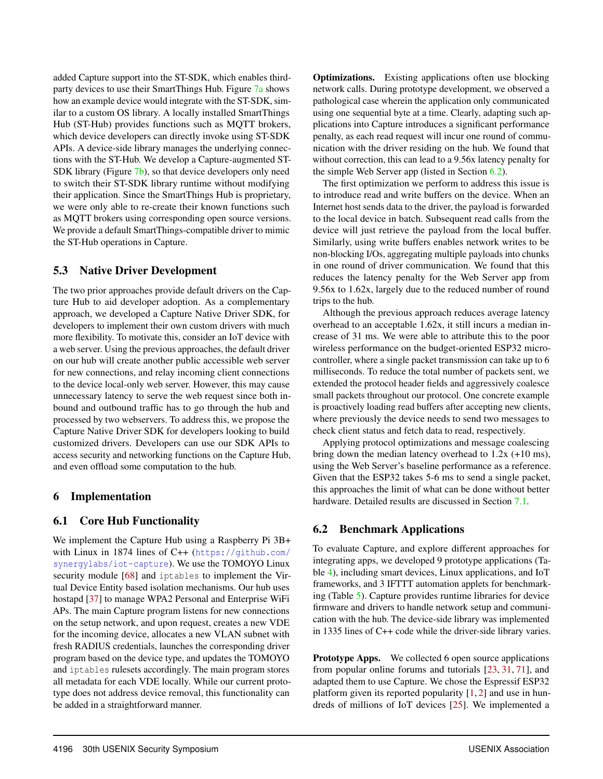added Capture support into the ST-SDK, which enables thirdparty devices to use their SmartThings Hub. Figure 7a shows how an example device would integrate with the ST-SDK, similar to a custom OS library. A locally installed SmartThings Hub (ST-Hub) provides functions such as MQTT brokers, which device developers can directly invoke using ST-SDK APIs. A device-side library manages the underlying connections with the ST-Hub. We develop a Capture-augmented ST-SDK library (Figure 7b), so that device developers only need to switch their ST-SDK library runtime without modifying their application. Since the SmartThings Hub is proprietary, we were only able to re-create their known functions such as MQTT brokers using corresponding open source versions. We provide a default SmartThings-compatible driver to mimic the ST-Hub operations in Capture.

#### 5.3 Native Driver Development

The two prior approaches provide default drivers on the Capture Hub to aid developer adoption. As a complementary approach, we developed a Capture Native Driver SDK, for developers to implement their own custom drivers with much more flexibility. To motivate this, consider an IoT device with a web server. Using the previous approaches, the default driver on our hub will create another public accessible web server for new connections, and relay incoming client connections to the device local-only web server. However, this may cause unnecessary latency to serve the web request since both inbound and outbound traffic has to go through the hub and processed by two webservers. To address this, we propose the Capture Native Driver SDK for developers looking to build customized drivers. Developers can use our SDK APIs to access security and networking functions on the Capture Hub, and even offload some computation to the hub.

#### 6 Implementation

#### 6.1 Core Hub Functionality

We implement the Capture Hub using a Raspberry Pi 3B+ with Linux in 1874 lines of C++ (https://github.com/ synergylabs/iot-capture). We use the TOMOYO Linux security module [68] and iptables to implement the Virtual Device Entity based isolation mechanisms. Our hub uses hostapd [37] to manage WPA2 Personal and Enterprise WiFi APs. The main Capture program listens for new connections on the setup network, and upon request, creates a new VDE for the incoming device, allocates a new VLAN subnet with fresh RADIUS credentials, launches the corresponding driver program based on the device type, and updates the TOMOYO and iptables rulesets accordingly. The main program stores all metadata for each VDE locally. While our current prototype does not address device removal, this functionality can be added in a straightforward manner.

**Optimizations.** Existing applications often use blocking network calls. During prototype development, we observed a pathological case wherein the application only communicated using one sequential byte at a time. Clearly, adapting such applications into Capture introduces a significant performance penalty, as each read request will incur one round of communication with the driver residing on the hub. We found that without correction, this can lead to a 9.56x latency penalty for the simple Web Server app (listed in Section 6.2).

The first optimization we perform to address this issue is to introduce read and write buffers on the device. When an Internet host sends data to the driver, the payload is forwarded to the local device in batch. Subsequent read calls from the device will just retrieve the payload from the local buffer. Similarly, using write buffers enables network writes to be non-blocking I/Os, aggregating multiple payloads into chunks in one round of driver communication. We found that this reduces the latency penalty for the Web Server app from 9.56x to 1.62x, largely due to the reduced number of round trips to the hub.

Although the previous approach reduces average latency overhead to an acceptable 1.62x, it still incurs a median increase of 31 ms. We were able to attribute this to the poor wireless performance on the budget-oriented ESP32 microcontroller, where a single packet transmission can take up to 6 milliseconds. To reduce the total number of packets sent, we extended the protocol header fields and aggressively coalesce small packets throughout our protocol. One concrete example is proactively loading read buffers after accepting new clients, where previously the device needs to send two messages to check client status and fetch data to read, respectively.

Applying protocol optimizations and message coalescing bring down the median latency overhead to 1.2x (+10 ms), using the Web Server's baseline performance as a reference. Given that the ESP32 takes 5-6 ms to send a single packet, this approaches the limit of what can be done without better hardware. Detailed results are discussed in Section 7.1.

#### 6.2 Benchmark Applications

To evaluate Capture, and explore different approaches for integrating apps, we developed 9 prototype applications (Table 4), including smart devices, Linux applications, and IoT frameworks, and 3 IFTTT automation applets for benchmarking (Table 5). Capture provides runtime libraries for device firmware and drivers to handle network setup and communication with the hub. The device-side library was implemented in 1335 lines of C++ code while the driver-side library varies.

Prototype Apps. We collected 6 open source applications from popular online forums and tutorials [23, 31, 71], and adapted them to use Capture. We chose the Espressif ESP32 platform given its reported popularity  $[1, 2]$  and use in hundreds of millions of IoT devices [25]. We implemented a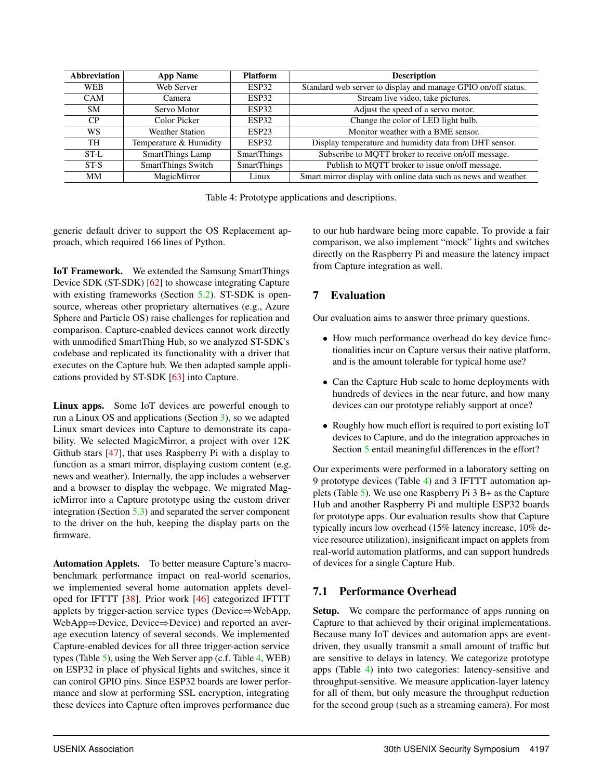| <b>Abbreviation</b> | <b>App Name</b>                               | <b>Platform</b>    | <b>Description</b>                                              |  |
|---------------------|-----------------------------------------------|--------------------|-----------------------------------------------------------------|--|
| <b>WEB</b>          | Web Server<br>ESP32                           |                    | Standard web server to display and manage GPIO on/off status.   |  |
| <b>CAM</b>          | ESP32<br>Camera                               |                    | Stream live video, take pictures.                               |  |
| SM.                 | Servo Motor<br>ESP32                          |                    | Adjust the speed of a servo motor.                              |  |
| CP.                 | Color Picker<br>ESP32                         |                    | Change the color of LED light bulb.                             |  |
| WS                  | <b>Weather Station</b><br>ESP <sub>23</sub>   |                    | Monitor weather with a BME sensor.                              |  |
| TH                  | Temperature & Humidity<br>ESP32               |                    | Display temperature and humidity data from DHT sensor.          |  |
| ST-L                | <b>SmartThings Lamp</b><br><b>SmartThings</b> |                    | Subscribe to MQTT broker to receive on/off message.             |  |
| ST-S                | <b>SmartThings Switch</b>                     | <b>SmartThings</b> | Publish to MQTT broker to issue on/off message.                 |  |
| <b>MM</b>           | MagicMirror                                   | Linux              | Smart mirror display with online data such as news and weather. |  |

Table 4: Prototype applications and descriptions.

generic default driver to support the OS Replacement approach, which required 166 lines of Python.

IoT Framework. We extended the Samsung SmartThings Device SDK (ST-SDK) [62] to showcase integrating Capture with existing frameworks (Section 5.2). ST-SDK is opensource, whereas other proprietary alternatives (e.g., Azure Sphere and Particle OS) raise challenges for replication and comparison. Capture-enabled devices cannot work directly with unmodified SmartThing Hub, so we analyzed ST-SDK's codebase and replicated its functionality with a driver that executes on the Capture hub. We then adapted sample applications provided by ST-SDK [63] into Capture.

Linux apps. Some IoT devices are powerful enough to run a Linux OS and applications (Section 3), so we adapted Linux smart devices into Capture to demonstrate its capability. We selected MagicMirror, a project with over 12K Github stars [47], that uses Raspberry Pi with a display to function as a smart mirror, displaying custom content (e.g. news and weather). Internally, the app includes a webserver and a browser to display the webpage. We migrated MagicMirror into a Capture prototype using the custom driver integration (Section 5.3) and separated the server component to the driver on the hub, keeping the display parts on the firmware.

Automation Applets. To better measure Capture's macrobenchmark performance impact on real-world scenarios, we implemented several home automation applets developed for IFTTT [38]. Prior work [46] categorized IFTTT applets by trigger-action service types (Device⇒WebApp, WebApp⇒Device, Device⇒Device) and reported an average execution latency of several seconds. We implemented Capture-enabled devices for all three trigger-action service types (Table 5), using the Web Server app (c.f. Table 4, WEB) on ESP32 in place of physical lights and switches, since it can control GPIO pins. Since ESP32 boards are lower performance and slow at performing SSL encryption, integrating these devices into Capture often improves performance due

to our hub hardware being more capable. To provide a fair comparison, we also implement "mock" lights and switches directly on the Raspberry Pi and measure the latency impact from Capture integration as well.

## 7 Evaluation

Our evaluation aims to answer three primary questions.

- How much performance overhead do key device functionalities incur on Capture versus their native platform, and is the amount tolerable for typical home use?
- Can the Capture Hub scale to home deployments with hundreds of devices in the near future, and how many devices can our prototype reliably support at once?
- Roughly how much effort is required to port existing IoT devices to Capture, and do the integration approaches in Section 5 entail meaningful differences in the effort?

Our experiments were performed in a laboratory setting on 9 prototype devices (Table 4) and 3 IFTTT automation applets (Table 5). We use one Raspberry Pi 3 B+ as the Capture Hub and another Raspberry Pi and multiple ESP32 boards for prototype apps. Our evaluation results show that Capture typically incurs low overhead (15% latency increase, 10% device resource utilization), insignificant impact on applets from real-world automation platforms, and can support hundreds of devices for a single Capture Hub.

## 7.1 Performance Overhead

Setup. We compare the performance of apps running on Capture to that achieved by their original implementations. Because many IoT devices and automation apps are eventdriven, they usually transmit a small amount of traffic but are sensitive to delays in latency. We categorize prototype apps (Table 4) into two categories: latency-sensitive and throughput-sensitive. We measure application-layer latency for all of them, but only measure the throughput reduction for the second group (such as a streaming camera). For most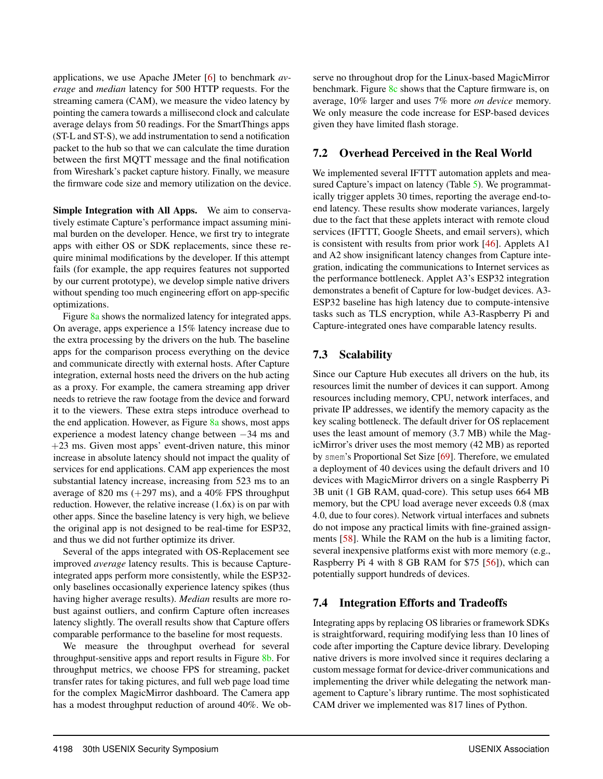applications, we use Apache JMeter [6] to benchmark *average* and *median* latency for 500 HTTP requests. For the streaming camera (CAM), we measure the video latency by pointing the camera towards a millisecond clock and calculate average delays from 50 readings. For the SmartThings apps (ST-L and ST-S), we add instrumentation to send a notification packet to the hub so that we can calculate the time duration between the first MQTT message and the final notification from Wireshark's packet capture history. Finally, we measure the firmware code size and memory utilization on the device.

Simple Integration with All Apps. We aim to conservatively estimate Capture's performance impact assuming minimal burden on the developer. Hence, we first try to integrate apps with either OS or SDK replacements, since these require minimal modifications by the developer. If this attempt fails (for example, the app requires features not supported by our current prototype), we develop simple native drivers without spending too much engineering effort on app-specific optimizations.

Figure 8a shows the normalized latency for integrated apps. On average, apps experience a 15% latency increase due to the extra processing by the drivers on the hub. The baseline apps for the comparison process everything on the device and communicate directly with external hosts. After Capture integration, external hosts need the drivers on the hub acting as a proxy. For example, the camera streaming app driver needs to retrieve the raw footage from the device and forward it to the viewers. These extra steps introduce overhead to the end application. However, as Figure 8a shows, most apps experience a modest latency change between −34 ms and +23 ms. Given most apps' event-driven nature, this minor increase in absolute latency should not impact the quality of services for end applications. CAM app experiences the most substantial latency increase, increasing from 523 ms to an average of 820 ms  $(+297 \text{ ms})$ , and a 40% FPS throughput reduction. However, the relative increase (1.6x) is on par with other apps. Since the baseline latency is very high, we believe the original app is not designed to be real-time for ESP32, and thus we did not further optimize its driver.

Several of the apps integrated with OS-Replacement see improved *average* latency results. This is because Captureintegrated apps perform more consistently, while the ESP32 only baselines occasionally experience latency spikes (thus having higher average results). *Median* results are more robust against outliers, and confirm Capture often increases latency slightly. The overall results show that Capture offers comparable performance to the baseline for most requests.

We measure the throughput overhead for several throughput-sensitive apps and report results in Figure 8b. For throughput metrics, we choose FPS for streaming, packet transfer rates for taking pictures, and full web page load time for the complex MagicMirror dashboard. The Camera app has a modest throughput reduction of around 40%. We ob-

serve no throughout drop for the Linux-based MagicMirror benchmark. Figure 8c shows that the Capture firmware is, on average, 10% larger and uses 7% more *on device* memory. We only measure the code increase for ESP-based devices given they have limited flash storage.

#### 7.2 Overhead Perceived in the Real World

We implemented several IFTTT automation applets and measured Capture's impact on latency (Table 5). We programmatically trigger applets 30 times, reporting the average end-toend latency. These results show moderate variances, largely due to the fact that these applets interact with remote cloud services (IFTTT, Google Sheets, and email servers), which is consistent with results from prior work [46]. Applets A1 and A2 show insignificant latency changes from Capture integration, indicating the communications to Internet services as the performance bottleneck. Applet A3's ESP32 integration demonstrates a benefit of Capture for low-budget devices. A3- ESP32 baseline has high latency due to compute-intensive tasks such as TLS encryption, while A3-Raspberry Pi and Capture-integrated ones have comparable latency results.

## 7.3 Scalability

Since our Capture Hub executes all drivers on the hub, its resources limit the number of devices it can support. Among resources including memory, CPU, network interfaces, and private IP addresses, we identify the memory capacity as the key scaling bottleneck. The default driver for OS replacement uses the least amount of memory (3.7 MB) while the MagicMirror's driver uses the most memory (42 MB) as reported by smem's Proportional Set Size [69]. Therefore, we emulated a deployment of 40 devices using the default drivers and 10 devices with MagicMirror drivers on a single Raspberry Pi 3B unit (1 GB RAM, quad-core). This setup uses 664 MB memory, but the CPU load average never exceeds 0.8 (max 4.0, due to four cores). Network virtual interfaces and subnets do not impose any practical limits with fine-grained assignments [58]. While the RAM on the hub is a limiting factor, several inexpensive platforms exist with more memory (e.g., Raspberry Pi 4 with 8 GB RAM for \$75 [56]), which can potentially support hundreds of devices.

## 7.4 Integration Efforts and Tradeoffs

Integrating apps by replacing OS libraries or framework SDKs is straightforward, requiring modifying less than 10 lines of code after importing the Capture device library. Developing native drivers is more involved since it requires declaring a custom message format for device-driver communications and implementing the driver while delegating the network management to Capture's library runtime. The most sophisticated CAM driver we implemented was 817 lines of Python.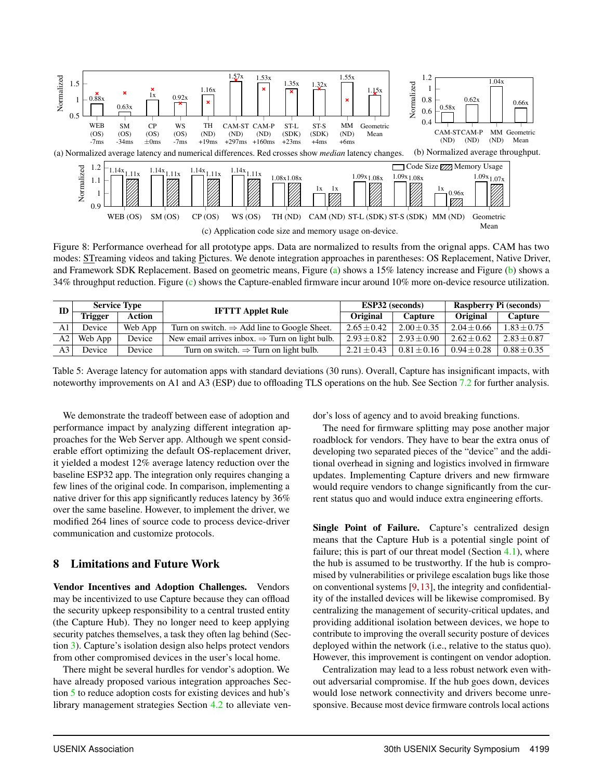

Figure 8: Performance overhead for all prototype apps. Data are normalized to results from the orignal apps. CAM has two modes: STreaming videos and taking Pictures. We denote integration approaches in parentheses: OS Replacement, Native Driver, and Framework SDK Replacement. Based on geometric means, Figure (a) shows a 15% latency increase and Figure (b) shows a 34% throughput reduction. Figure (c) shows the Capture-enabled firmware incur around 10% more on-device resource utilization.

| ${\bf ID}$     | <b>Service Type</b> |         | <b>IFTTT Applet Rule</b>                                    | <b>ESP32</b> (seconds) |                 | Raspberry Pi (seconds) |                 |
|----------------|---------------------|---------|-------------------------------------------------------------|------------------------|-----------------|------------------------|-----------------|
|                | lrigger             | Action  |                                                             | Original               | Capture         | <b>Original</b>        | Capture         |
| A <sub>1</sub> | Device              | Web App | Turn on switch. $\Rightarrow$ Add line to Google Sheet.     | $2.65 \pm 0.42$        | $2.00 \pm 0.35$ | $2.04 \pm 0.66$        | $1.83 \pm 0.75$ |
| A2 I           | Web App             | Device  | New email arrives in box. $\Rightarrow$ Turn on light bulb. | $2.93 + 0.82$          | $2.93 + 0.90$   | $2.62 + 0.62$          | $2.83 + 0.87$   |
|                | Device              | Device  | Turn on switch. $\Rightarrow$ Turn on light bulb.           | $2.21 + 0.43$          | $0.81 + 0.16$   | $0.94 + 0.28$          | $0.88 \pm 0.35$ |

Table 5: Average latency for automation apps with standard deviations (30 runs). Overall, Capture has insignificant impacts, with noteworthy improvements on A1 and A3 (ESP) due to offloading TLS operations on the hub. See Section 7.2 for further analysis.

We demonstrate the tradeoff between ease of adoption and performance impact by analyzing different integration approaches for the Web Server app. Although we spent considerable effort optimizing the default OS-replacement driver, it yielded a modest 12% average latency reduction over the baseline ESP32 app. The integration only requires changing a few lines of the original code. In comparison, implementing a native driver for this app significantly reduces latency by 36% over the same baseline. However, to implement the driver, we modified 264 lines of source code to process device-driver communication and customize protocols.

#### 8 Limitations and Future Work

Vendor Incentives and Adoption Challenges. Vendors may be incentivized to use Capture because they can offload the security upkeep responsibility to a central trusted entity (the Capture Hub). They no longer need to keep applying security patches themselves, a task they often lag behind (Section 3). Capture's isolation design also helps protect vendors from other compromised devices in the user's local home.

There might be several hurdles for vendor's adoption. We have already proposed various integration approaches Section 5 to reduce adoption costs for existing devices and hub's library management strategies Section 4.2 to alleviate vendor's loss of agency and to avoid breaking functions.

The need for firmware splitting may pose another major roadblock for vendors. They have to bear the extra onus of developing two separated pieces of the "device" and the additional overhead in signing and logistics involved in firmware updates. Implementing Capture drivers and new firmware would require vendors to change significantly from the current status quo and would induce extra engineering efforts.

Single Point of Failure. Capture's centralized design means that the Capture Hub is a potential single point of failure; this is part of our threat model (Section  $4.1$ ), where the hub is assumed to be trustworthy. If the hub is compromised by vulnerabilities or privilege escalation bugs like those on conventional systems [9,13], the integrity and confidentiality of the installed devices will be likewise compromised. By centralizing the management of security-critical updates, and providing additional isolation between devices, we hope to contribute to improving the overall security posture of devices deployed within the network (i.e., relative to the status quo). However, this improvement is contingent on vendor adoption.

Centralization may lead to a less robust network even without adversarial compromise. If the hub goes down, devices would lose network connectivity and drivers become unresponsive. Because most device firmware controls local actions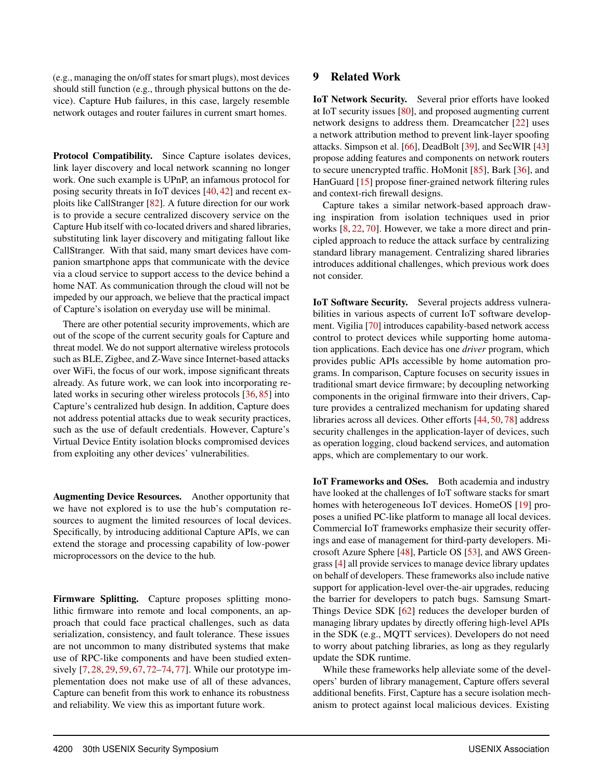(e.g., managing the on/off states for smart plugs), most devices should still function (e.g., through physical buttons on the device). Capture Hub failures, in this case, largely resemble network outages and router failures in current smart homes.

Protocol Compatibility. Since Capture isolates devices, link layer discovery and local network scanning no longer work. One such example is UPnP, an infamous protocol for posing security threats in IoT devices [40, 42] and recent exploits like CallStranger [82]. A future direction for our work is to provide a secure centralized discovery service on the Capture Hub itself with co-located drivers and shared libraries, substituting link layer discovery and mitigating fallout like CallStranger. With that said, many smart devices have companion smartphone apps that communicate with the device via a cloud service to support access to the device behind a home NAT. As communication through the cloud will not be impeded by our approach, we believe that the practical impact of Capture's isolation on everyday use will be minimal.

There are other potential security improvements, which are out of the scope of the current security goals for Capture and threat model. We do not support alternative wireless protocols such as BLE, Zigbee, and Z-Wave since Internet-based attacks over WiFi, the focus of our work, impose significant threats already. As future work, we can look into incorporating related works in securing other wireless protocols [36, 85] into Capture's centralized hub design. In addition, Capture does not address potential attacks due to weak security practices, such as the use of default credentials. However, Capture's Virtual Device Entity isolation blocks compromised devices from exploiting any other devices' vulnerabilities.

Augmenting Device Resources. Another opportunity that we have not explored is to use the hub's computation resources to augment the limited resources of local devices. Specifically, by introducing additional Capture APIs, we can extend the storage and processing capability of low-power microprocessors on the device to the hub.

Firmware Splitting. Capture proposes splitting monolithic firmware into remote and local components, an approach that could face practical challenges, such as data serialization, consistency, and fault tolerance. These issues are not uncommon to many distributed systems that make use of RPC-like components and have been studied extensively [7, 28, 29, 59, 67, 72–74, 77]. While our prototype implementation does not make use of all of these advances, Capture can benefit from this work to enhance its robustness and reliability. We view this as important future work.

#### 9 Related Work

IoT Network Security. Several prior efforts have looked at IoT security issues [80], and proposed augmenting current network designs to address them. Dreamcatcher [22] uses a network attribution method to prevent link-layer spoofing attacks. Simpson et al. [66], DeadBolt [39], and SecWIR [43] propose adding features and components on network routers to secure unencrypted traffic. HoMonit [85], Bark [36], and HanGuard [15] propose finer-grained network filtering rules and context-rich firewall designs.

Capture takes a similar network-based approach drawing inspiration from isolation techniques used in prior works [8, 22, 70]. However, we take a more direct and principled approach to reduce the attack surface by centralizing standard library management. Centralizing shared libraries introduces additional challenges, which previous work does not consider.

IoT Software Security. Several projects address vulnerabilities in various aspects of current IoT software development. Vigilia [70] introduces capability-based network access control to protect devices while supporting home automation applications. Each device has one *driver* program, which provides public APIs accessible by home automation programs. In comparison, Capture focuses on security issues in traditional smart device firmware; by decoupling networking components in the original firmware into their drivers, Capture provides a centralized mechanism for updating shared libraries across all devices. Other efforts [44, 50, 78] address security challenges in the application-layer of devices, such as operation logging, cloud backend services, and automation apps, which are complementary to our work.

IoT Frameworks and OSes. Both academia and industry have looked at the challenges of IoT software stacks for smart homes with heterogeneous IoT devices. HomeOS [19] proposes a unified PC-like platform to manage all local devices. Commercial IoT frameworks emphasize their security offerings and ease of management for third-party developers. Microsoft Azure Sphere [48], Particle OS [53], and AWS Greengrass [4] all provide services to manage device library updates on behalf of developers. These frameworks also include native support for application-level over-the-air upgrades, reducing the barrier for developers to patch bugs. Samsung Smart-Things Device SDK [62] reduces the developer burden of managing library updates by directly offering high-level APIs in the SDK (e.g., MQTT services). Developers do not need to worry about patching libraries, as long as they regularly update the SDK runtime.

While these frameworks help alleviate some of the developers' burden of library management, Capture offers several additional benefits. First, Capture has a secure isolation mechanism to protect against local malicious devices. Existing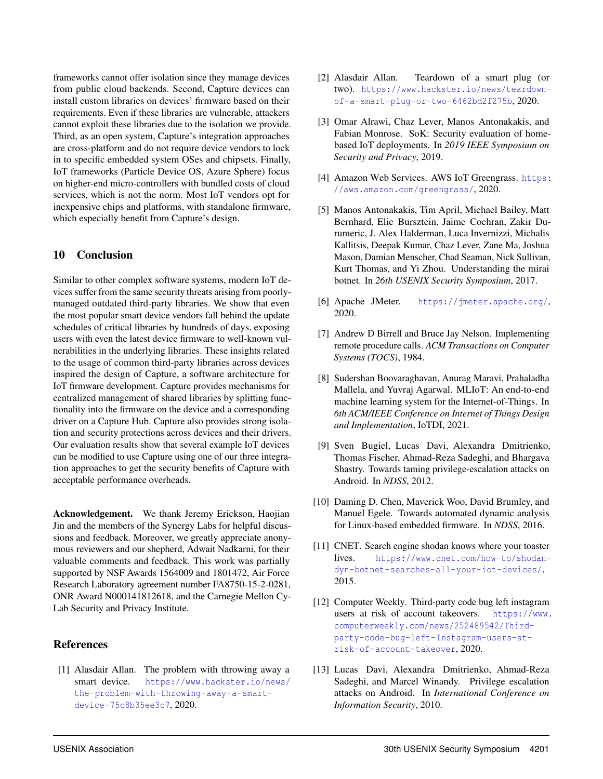frameworks cannot offer isolation since they manage devices from public cloud backends. Second, Capture devices can install custom libraries on devices' firmware based on their requirements. Even if these libraries are vulnerable, attackers cannot exploit these libraries due to the isolation we provide. Third, as an open system, Capture's integration approaches are cross-platform and do not require device vendors to lock in to specific embedded system OSes and chipsets. Finally, IoT frameworks (Particle Device OS, Azure Sphere) focus on higher-end micro-controllers with bundled costs of cloud services, which is not the norm. Most IoT vendors opt for inexpensive chips and platforms, with standalone firmware, which especially benefit from Capture's design.

#### 10 Conclusion

Similar to other complex software systems, modern IoT devices suffer from the same security threats arising from poorlymanaged outdated third-party libraries. We show that even the most popular smart device vendors fall behind the update schedules of critical libraries by hundreds of days, exposing users with even the latest device firmware to well-known vulnerabilities in the underlying libraries. These insights related to the usage of common third-party libraries across devices inspired the design of Capture, a software architecture for IoT firmware development. Capture provides mechanisms for centralized management of shared libraries by splitting functionality into the firmware on the device and a corresponding driver on a Capture Hub. Capture also provides strong isolation and security protections across devices and their drivers. Our evaluation results show that several example IoT devices can be modified to use Capture using one of our three integration approaches to get the security benefits of Capture with acceptable performance overheads.

Acknowledgement. We thank Jeremy Erickson, Haojian Jin and the members of the Synergy Labs for helpful discussions and feedback. Moreover, we greatly appreciate anonymous reviewers and our shepherd, Adwait Nadkarni, for their valuable comments and feedback. This work was partially supported by NSF Awards 1564009 and 1801472, Air Force Research Laboratory agreement number FA8750-15-2-0281, ONR Award N000141812618, and the Carnegie Mellon Cy-Lab Security and Privacy Institute.

#### References

[1] Alasdair Allan. The problem with throwing away a smart device. https://www.hackster.io/news/ the-problem-with-throwing-away-a-smartdevice-75c8b35ee3c7, 2020.

- [2] Alasdair Allan. Teardown of a smart plug (or two). https://www.hackster.io/news/teardownof-a-smart-plug-or-two-6462bd2f275b, 2020.
- [3] Omar Alrawi, Chaz Lever, Manos Antonakakis, and Fabian Monrose. SoK: Security evaluation of homebased IoT deployments. In *2019 IEEE Symposium on Security and Privacy*, 2019.
- [4] Amazon Web Services. AWS IoT Greengrass. https: //aws.amazon.com/greengrass/, 2020.
- [5] Manos Antonakakis, Tim April, Michael Bailey, Matt Bernhard, Elie Bursztein, Jaime Cochran, Zakir Durumeric, J. Alex Halderman, Luca Invernizzi, Michalis Kallitsis, Deepak Kumar, Chaz Lever, Zane Ma, Joshua Mason, Damian Menscher, Chad Seaman, Nick Sullivan, Kurt Thomas, and Yi Zhou. Understanding the mirai botnet. In *26th USENIX Security Symposium*, 2017.
- [6] Apache JMeter. https://jmeter.apache.org/, 2020.
- [7] Andrew D Birrell and Bruce Jay Nelson. Implementing remote procedure calls. *ACM Transactions on Computer Systems (TOCS)*, 1984.
- [8] Sudershan Boovaraghavan, Anurag Maravi, Prahaladha Mallela, and Yuvraj Agarwal. MLIoT: An end-to-end machine learning system for the Internet-of-Things. In *6th ACM/IEEE Conference on Internet of Things Design and Implementation*, IoTDI, 2021.
- [9] Sven Bugiel, Lucas Davi, Alexandra Dmitrienko, Thomas Fischer, Ahmad-Reza Sadeghi, and Bhargava Shastry. Towards taming privilege-escalation attacks on Android. In *NDSS*, 2012.
- [10] Daming D. Chen, Maverick Woo, David Brumley, and Manuel Egele. Towards automated dynamic analysis for Linux-based embedded firmware. In *NDSS*, 2016.
- [11] CNET. Search engine shodan knows where your toaster lives. https://www.cnet.com/how-to/shodandyn-botnet-searches-all-your-iot-devices/, 2015.
- [12] Computer Weekly. Third-party code bug left instagram users at risk of account takeovers. https://www. computerweekly.com/news/252489542/Thirdparty-code-bug-left-Instagram-users-atrisk-of-account-takeover, 2020.
- [13] Lucas Davi, Alexandra Dmitrienko, Ahmad-Reza Sadeghi, and Marcel Winandy. Privilege escalation attacks on Android. In *International Conference on Information Security*, 2010.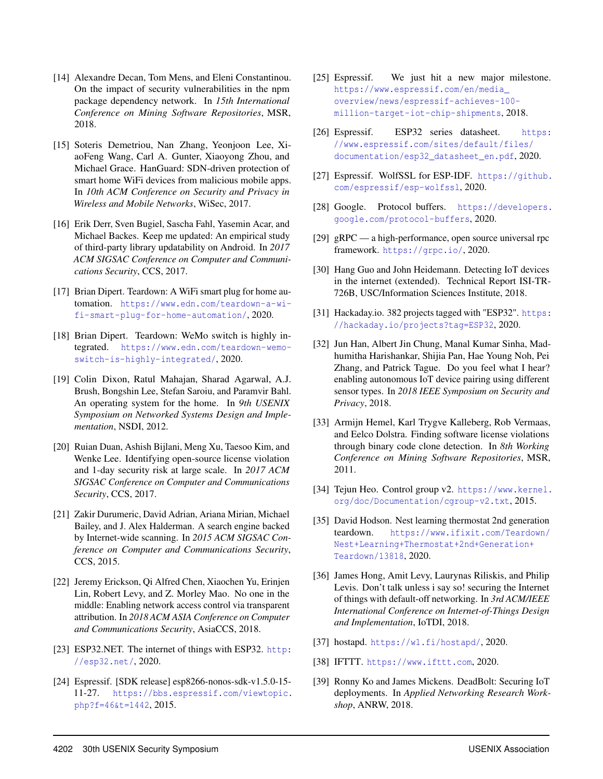- [14] Alexandre Decan, Tom Mens, and Eleni Constantinou. On the impact of security vulnerabilities in the npm package dependency network. In *15th International Conference on Mining Software Repositories*, MSR, 2018.
- [15] Soteris Demetriou, Nan Zhang, Yeonjoon Lee, XiaoFeng Wang, Carl A. Gunter, Xiaoyong Zhou, and Michael Grace. HanGuard: SDN-driven protection of smart home WiFi devices from malicious mobile apps. In *10th ACM Conference on Security and Privacy in Wireless and Mobile Networks*, WiSec, 2017.
- [16] Erik Derr, Sven Bugiel, Sascha Fahl, Yasemin Acar, and Michael Backes. Keep me updated: An empirical study of third-party library updatability on Android. In *2017 ACM SIGSAC Conference on Computer and Communications Security*, CCS, 2017.
- [17] Brian Dipert. Teardown: A WiFi smart plug for home automation. https://www.edn.com/teardown-a-wifi-smart-plug-for-home-automation/, 2020.
- [18] Brian Dipert. Teardown: WeMo switch is highly integrated. https://www.edn.com/teardown-wemoswitch-is-highly-integrated/, 2020.
- [19] Colin Dixon, Ratul Mahajan, Sharad Agarwal, A.J. Brush, Bongshin Lee, Stefan Saroiu, and Paramvir Bahl. An operating system for the home. In *9th USENIX Symposium on Networked Systems Design and Implementation*, NSDI, 2012.
- [20] Ruian Duan, Ashish Bijlani, Meng Xu, Taesoo Kim, and Wenke Lee. Identifying open-source license violation and 1-day security risk at large scale. In *2017 ACM SIGSAC Conference on Computer and Communications Security*, CCS, 2017.
- [21] Zakir Durumeric, David Adrian, Ariana Mirian, Michael Bailey, and J. Alex Halderman. A search engine backed by Internet-wide scanning. In *2015 ACM SIGSAC Conference on Computer and Communications Security*, CCS, 2015.
- [22] Jeremy Erickson, Qi Alfred Chen, Xiaochen Yu, Erinjen Lin, Robert Levy, and Z. Morley Mao. No one in the middle: Enabling network access control via transparent attribution. In *2018 ACM ASIA Conference on Computer and Communications Security*, AsiaCCS, 2018.
- [23] ESP32.NET. The internet of things with ESP32. http: //esp32.net/, 2020.
- [24] Espressif. [SDK release] esp8266-nonos-sdk-v1.5.0-15- 11-27. https://bbs.espressif.com/viewtopic. php?f=46&t=1442, 2015.
- [25] Espressif. We just hit a new major milestone. https://www.espressif.com/en/media\_ overview/news/espressif-achieves-100 million-target-iot-chip-shipments, 2018.
- [26] Espressif. ESP32 series datasheet. https: //www.espressif.com/sites/default/files/ documentation/esp32\_datasheet\_en.pdf, 2020.
- [27] Espressif. WolfSSL for ESP-IDF. https://github. com/espressif/esp-wolfssl, 2020.
- [28] Google. Protocol buffers. https://developers. google.com/protocol-buffers, 2020.
- [29] gRPC a high-performance, open source universal rpc framework. https://grpc.io/, 2020.
- [30] Hang Guo and John Heidemann. Detecting IoT devices in the internet (extended). Technical Report ISI-TR-726B, USC/Information Sciences Institute, 2018.
- [31] Hackaday.io. 382 projects tagged with "ESP32". https: //hackaday.io/projects?tag=ESP32, 2020.
- [32] Jun Han, Albert Jin Chung, Manal Kumar Sinha, Madhumitha Harishankar, Shijia Pan, Hae Young Noh, Pei Zhang, and Patrick Tague. Do you feel what I hear? enabling autonomous IoT device pairing using different sensor types. In *2018 IEEE Symposium on Security and Privacy*, 2018.
- [33] Armijn Hemel, Karl Trygve Kalleberg, Rob Vermaas, and Eelco Dolstra. Finding software license violations through binary code clone detection. In *8th Working Conference on Mining Software Repositories*, MSR, 2011.
- [34] Tejun Heo. Control group v2. https://www.kernel. org/doc/Documentation/cgroup-v2.txt, 2015.
- [35] David Hodson. Nest learning thermostat 2nd generation teardown. https://www.ifixit.com/Teardown/ Nest+Learning+Thermostat+2nd+Generation+ Teardown/13818, 2020.
- [36] James Hong, Amit Levy, Laurynas Riliskis, and Philip Levis. Don't talk unless i say so! securing the Internet of things with default-off networking. In *3rd ACM/IEEE International Conference on Internet-of-Things Design and Implementation*, IoTDI, 2018.
- [37] hostapd. https://w1.fi/hostapd/, 2020.
- [38] IFTTT. https://www.ifttt.com, 2020.
- [39] Ronny Ko and James Mickens. DeadBolt: Securing IoT deployments. In *Applied Networking Research Workshop*, ANRW, 2018.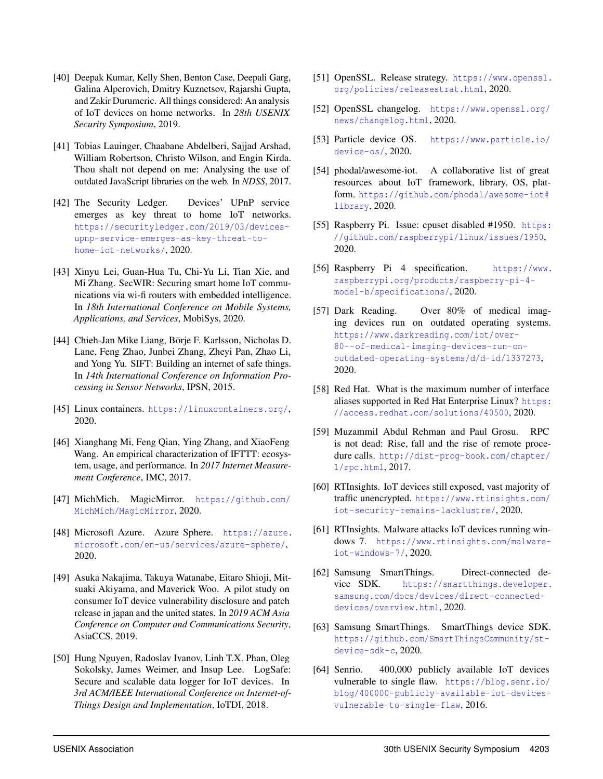- [40] Deepak Kumar, Kelly Shen, Benton Case, Deepali Garg, Galina Alperovich, Dmitry Kuznetsov, Rajarshi Gupta, and Zakir Durumeric. All things considered: An analysis of IoT devices on home networks. In *28th USENIX Security Symposium*, 2019.
- [41] Tobias Lauinger, Chaabane Abdelberi, Sajjad Arshad, William Robertson, Christo Wilson, and Engin Kirda. Thou shalt not depend on me: Analysing the use of outdated JavaScript libraries on the web. In *NDSS*, 2017.
- [42] The Security Ledger. Devices' UPnP service emerges as key threat to home IoT networks. https://securityledger.com/2019/03/devicesupnp-service-emerges-as-key-threat-tohome-iot-networks/, 2020.
- [43] Xinyu Lei, Guan-Hua Tu, Chi-Yu Li, Tian Xie, and Mi Zhang. SecWIR: Securing smart home IoT communications via wi-fi routers with embedded intelligence. In *18th International Conference on Mobile Systems, Applications, and Services*, MobiSys, 2020.
- [44] Chieh-Jan Mike Liang, Börje F. Karlsson, Nicholas D. Lane, Feng Zhao, Junbei Zhang, Zheyi Pan, Zhao Li, and Yong Yu. SIFT: Building an internet of safe things. In *14th International Conference on Information Processing in Sensor Networks*, IPSN, 2015.
- [45] Linux containers. https://linuxcontainers.org/, 2020.
- [46] Xianghang Mi, Feng Qian, Ying Zhang, and XiaoFeng Wang. An empirical characterization of IFTTT: ecosystem, usage, and performance. In *2017 Internet Measurement Conference*, IMC, 2017.
- [47] MichMich. MagicMirror. https://github.com/ MichMich/MagicMirror, 2020.
- [48] Microsoft Azure. Azure Sphere. https://azure. microsoft.com/en-us/services/azure-sphere/, 2020.
- [49] Asuka Nakajima, Takuya Watanabe, Eitaro Shioji, Mitsuaki Akiyama, and Maverick Woo. A pilot study on consumer IoT device vulnerability disclosure and patch release in japan and the united states. In *2019 ACM Asia Conference on Computer and Communications Security*, AsiaCCS, 2019.
- [50] Hung Nguyen, Radoslav Ivanov, Linh T.X. Phan, Oleg Sokolsky, James Weimer, and Insup Lee. LogSafe: Secure and scalable data logger for IoT devices. In *3rd ACM/IEEE International Conference on Internet-of-Things Design and Implementation*, IoTDI, 2018.
- [51] OpenSSL. Release strategy. https://www.openssl. org/policies/releasestrat.html, 2020.
- [52] OpenSSL changelog. https://www.openssl.org/ news/changelog.html, 2020.
- [53] Particle device OS. https://www.particle.io/ device-os/, 2020.
- [54] phodal/awesome-iot. A collaborative list of great resources about IoT framework, library, OS, platform. https://github.com/phodal/awesome-iot# library, 2020.
- [55] Raspberry Pi. Issue: cpuset disabled #1950. https: //github.com/raspberrypi/linux/issues/1950, 2020.
- [56] Raspberry Pi 4 specification. https://www. raspberrypi.org/products/raspberry-pi-4 model-b/specifications/, 2020.
- [57] Dark Reading. Over 80% of medical imaging devices run on outdated operating systems. https://www.darkreading.com/iot/over-80--of-medical-imaging-devices-run-onoutdated-operating-systems/d/d-id/1337273, 2020.
- [58] Red Hat. What is the maximum number of interface aliases supported in Red Hat Enterprise Linux? https: //access.redhat.com/solutions/40500, 2020.
- [59] Muzammil Abdul Rehman and Paul Grosu. RPC is not dead: Rise, fall and the rise of remote procedure calls. http://dist-prog-book.com/chapter/ 1/rpc.html, 2017.
- [60] RTInsights. IoT devices still exposed, vast majority of traffic unencrypted. https://www.rtinsights.com/ iot-security-remains-lacklustre/, 2020.
- [61] RTInsights. Malware attacks IoT devices running windows 7. https://www.rtinsights.com/malwareiot-windows-7/, 2020.
- [62] Samsung SmartThings. Direct-connected device SDK. https://smartthings.developer. samsung.com/docs/devices/direct-connecteddevices/overview.html, 2020.
- [63] Samsung SmartThings. SmartThings device SDK. https://github.com/SmartThingsCommunity/stdevice-sdk-c, 2020.
- [64] Senrio. 400,000 publicly available IoT devices vulnerable to single flaw. https://blog.senr.io/ blog/400000-publicly-available-iot-devicesvulnerable-to-single-flaw, 2016.